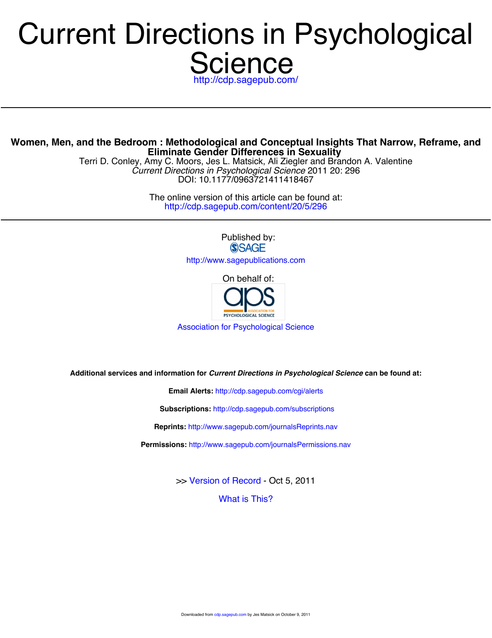# **Science** <http://cdp.sagepub.com/> Current Directions in Psychological

**Eliminate Gender Differences in Sexuality Women, Men, and the Bedroom : Methodological and Conceptual Insights That Narrow, Reframe, and**

DOI: 10.1177/0963721411418467 *Current Directions in Psychological Science* 2011 20: 296 Terri D. Conley, Amy C. Moors, Jes L. Matsick, Ali Ziegler and Brandon A. Valentine

> <http://cdp.sagepub.com/content/20/5/296> The online version of this article can be found at:

> > Published by: **SSAGE**

<http://www.sagepublications.com>

On behalf of:



[Association for Psychological Science](http://www.psychologicalscience.org/)

**Additional services and information for** *Current Directions in Psychological Science* **can be found at:**

**Email Alerts:** <http://cdp.sagepub.com/cgi/alerts>

**Subscriptions:** <http://cdp.sagepub.com/subscriptions>

**Reprints:** <http://www.sagepub.com/journalsReprints.nav>

**Permissions:** <http://www.sagepub.com/journalsPermissions.nav>

>> [Version of Record -](http://cdp.sagepub.com/content/20/5/296.full.pdf) Oct 5, 2011

[What is This?](http://online.sagepub.com/site/sphelp/vorhelp.xhtml)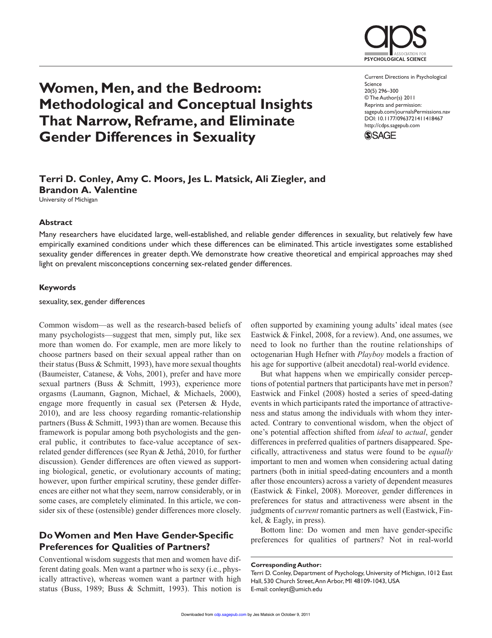

**Women, Men, and the Bedroom: Methodological and Conceptual Insights That Narrow, Reframe, and Eliminate Gender Differences in Sexuality**

Current Directions in Psychological Science 20(5) 296–300 © The Author(s) 2011 Reprints and permission: sagepub.com/journalsPermissions.nav DOI: 10.1177/0963721411418467 http://cdps.sagepub.com



## **Terri D. Conley, Amy C. Moors, Jes L. Matsick, Ali Ziegler, and Brandon A. Valentine**

University of Michigan

#### **Abstract**

Many researchers have elucidated large, well-established, and reliable gender differences in sexuality, but relatively few have empirically examined conditions under which these differences can be eliminated. This article investigates some established sexuality gender differences in greater depth. We demonstrate how creative theoretical and empirical approaches may shed light on prevalent misconceptions concerning sex-related gender differences.

#### **Keywords**

sexuality, sex, gender differences

Common wisdom—as well as the research-based beliefs of many psychologists—suggest that men, simply put, like sex more than women do. For example, men are more likely to choose partners based on their sexual appeal rather than on their status (Buss & Schmitt, 1993), have more sexual thoughts (Baumeister, Catanese, & Vohs, 2001), prefer and have more sexual partners (Buss & Schmitt, 1993), experience more orgasms (Laumann, Gagnon, Michael, & Michaels, 2000), engage more frequently in casual sex (Petersen & Hyde, 2010), and are less choosy regarding romantic-relationship partners (Buss & Schmitt, 1993) than are women. Because this framework is popular among both psychologists and the general public, it contributes to face-value acceptance of sexrelated gender differences (see Ryan & Jethå, 2010, for further discussion). Gender differences are often viewed as supporting biological, genetic, or evolutionary accounts of mating; however, upon further empirical scrutiny, these gender differences are either not what they seem, narrow considerably, or in some cases, are completely eliminated. In this article, we consider six of these (ostensible) gender differences more closely.

## **Do Women and Men Have Gender-Specific Preferences for Qualities of Partners?**

Conventional wisdom suggests that men and women have different dating goals. Men want a partner who is sexy (i.e., physically attractive), whereas women want a partner with high status (Buss, 1989; Buss & Schmitt, 1993). This notion is

often supported by examining young adults' ideal mates (see Eastwick & Finkel, 2008, for a review). And, one assumes, we need to look no further than the routine relationships of octogenarian Hugh Hefner with *Playboy* models a fraction of his age for supportive (albeit anecdotal) real-world evidence.

But what happens when we empirically consider perceptions of potential partners that participants have met in person? Eastwick and Finkel (2008) hosted a series of speed-dating events in which participants rated the importance of attractiveness and status among the individuals with whom they interacted. Contrary to conventional wisdom, when the object of one's potential affection shifted from *ideal* to *actual*, gender differences in preferred qualities of partners disappeared. Specifically, attractiveness and status were found to be *equally* important to men and women when considering actual dating partners (both in initial speed-dating encounters and a month after those encounters) across a variety of dependent measures (Eastwick & Finkel, 2008). Moreover, gender differences in preferences for status and attractiveness were absent in the judgments of *current* romantic partners as well (Eastwick, Finkel, & Eagly, in press).

Bottom line: Do women and men have gender-specific preferences for qualities of partners? Not in real-world

**Corresponding Author:**

Terri D. Conley, Department of Psychology, University of Michigan, 1012 East Hall, 530 Church Street, Ann Arbor, MI 48109-1043, USA E-mail: conleyt@umich.edu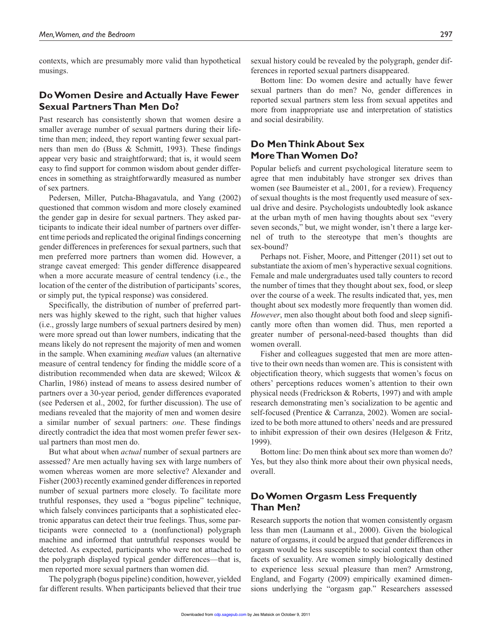contexts, which are presumably more valid than hypothetical musings.

## **Do Women Desire and Actually Have Fewer Sexual Partners Than Men Do?**

Past research has consistently shown that women desire a smaller average number of sexual partners during their lifetime than men; indeed, they report wanting fewer sexual partners than men do (Buss & Schmitt, 1993). These findings appear very basic and straightforward; that is, it would seem easy to find support for common wisdom about gender differences in something as straightforwardly measured as number of sex partners.

Pedersen, Miller, Putcha-Bhagavatula, and Yang (2002) questioned that common wisdom and more closely examined the gender gap in desire for sexual partners. They asked participants to indicate their ideal number of partners over different time periods and replicated the original findings concerning gender differences in preferences for sexual partners, such that men preferred more partners than women did. However, a strange caveat emerged: This gender difference disappeared when a more accurate measure of central tendency (i.e., the location of the center of the distribution of participants' scores, or simply put, the typical response) was considered.

Specifically, the distribution of number of preferred partners was highly skewed to the right, such that higher values (i.e., grossly large numbers of sexual partners desired by men) were more spread out than lower numbers, indicating that the means likely do not represent the majority of men and women in the sample. When examining *median* values (an alternative measure of central tendency for finding the middle score of a distribution recommended when data are skewed; Wilcox & Charlin, 1986) instead of means to assess desired number of partners over a 30-year period, gender differences evaporated (see Pedersen et al., 2002, for further discussion). The use of medians revealed that the majority of men and women desire a similar number of sexual partners: *one*. These findings directly contradict the idea that most women prefer fewer sexual partners than most men do.

But what about when *actual* number of sexual partners are assessed? Are men actually having sex with large numbers of women whereas women are more selective? Alexander and Fisher (2003) recently examined gender differences in reported number of sexual partners more closely. To facilitate more truthful responses, they used a "bogus pipeline" technique, which falsely convinces participants that a sophisticated electronic apparatus can detect their true feelings. Thus, some participants were connected to a (nonfunctional) polygraph machine and informed that untruthful responses would be detected. As expected, participants who were not attached to the polygraph displayed typical gender differences—that is, men reported more sexual partners than women did.

The polygraph (bogus pipeline) condition, however, yielded far different results. When participants believed that their true

sexual history could be revealed by the polygraph, gender differences in reported sexual partners disappeared.

Bottom line: Do women desire and actually have fewer sexual partners than do men? No, gender differences in reported sexual partners stem less from sexual appetites and more from inappropriate use and interpretation of statistics and social desirability.

## **Do Men Think About Sex More Than Women Do?**

Popular beliefs and current psychological literature seem to agree that men indubitably have stronger sex drives than women (see Baumeister et al., 2001, for a review). Frequency of sexual thoughts is the most frequently used measure of sexual drive and desire. Psychologists undoubtedly look askance at the urban myth of men having thoughts about sex "every seven seconds," but, we might wonder, isn't there a large kernel of truth to the stereotype that men's thoughts are sex-bound?

Perhaps not. Fisher, Moore, and Pittenger (2011) set out to substantiate the axiom of men's hyperactive sexual cognitions. Female and male undergraduates used tally counters to record the number of times that they thought about sex, food, or sleep over the course of a week. The results indicated that, yes, men thought about sex modestly more frequently than women did. *However*, men also thought about both food and sleep significantly more often than women did. Thus, men reported a greater number of personal-need-based thoughts than did women overall.

Fisher and colleagues suggested that men are more attentive to their own needs than women are. This is consistent with objectification theory, which suggests that women's focus on others' perceptions reduces women's attention to their own physical needs (Fredrickson & Roberts, 1997) and with ample research demonstrating men's socialization to be agentic and self-focused (Prentice & Carranza, 2002). Women are socialized to be both more attuned to others' needs and are pressured to inhibit expression of their own desires (Helgeson & Fritz, 1999).

Bottom line: Do men think about sex more than women do? Yes, but they also think more about their own physical needs, overall.

## **Do Women Orgasm Less Frequently Than Men?**

Research supports the notion that women consistently orgasm less than men (Laumann et al., 2000). Given the biological nature of orgasms, it could be argued that gender differences in orgasm would be less susceptible to social context than other facets of sexuality. Are women simply biologically destined to experience less sexual pleasure than men? Armstrong, England, and Fogarty (2009) empirically examined dimensions underlying the "orgasm gap." Researchers assessed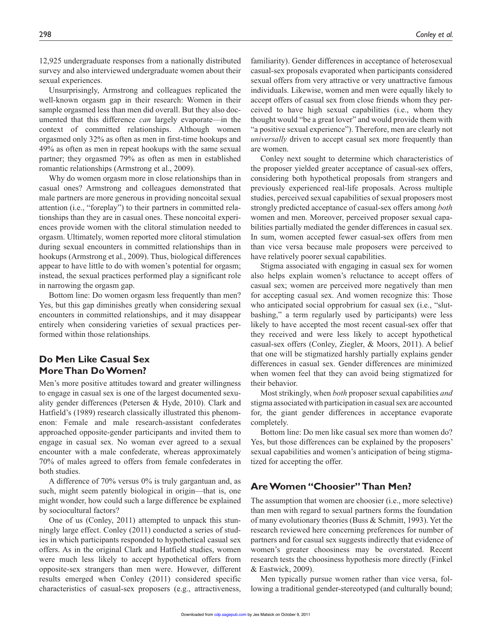12,925 undergraduate responses from a nationally distributed survey and also interviewed undergraduate women about their sexual experiences.

Unsurprisingly, Armstrong and colleagues replicated the well-known orgasm gap in their research: Women in their sample orgasmed less than men did overall. But they also documented that this difference *can* largely evaporate—in the context of committed relationships. Although women orgasmed only 32% as often as men in first-time hookups and 49% as often as men in repeat hookups with the same sexual partner; they orgasmed 79% as often as men in established romantic relationships (Armstrong et al., 2009).

Why do women orgasm more in close relationships than in casual ones? Armstrong and colleagues demonstrated that male partners are more generous in providing noncoital sexual attention (i.e., "foreplay") to their partners in committed relationships than they are in casual ones. These noncoital experiences provide women with the clitoral stimulation needed to orgasm. Ultimately, women reported more clitoral stimulation during sexual encounters in committed relationships than in hookups (Armstrong et al., 2009). Thus, biological differences appear to have little to do with women's potential for orgasm; instead, the sexual practices performed play a significant role in narrowing the orgasm gap.

Bottom line: Do women orgasm less frequently than men? Yes, but this gap diminishes greatly when considering sexual encounters in committed relationships, and it may disappear entirely when considering varieties of sexual practices performed within those relationships.

## **Do Men Like Casual Sex More Than Do Women?**

Men's more positive attitudes toward and greater willingness to engage in casual sex is one of the largest documented sexuality gender differences (Petersen & Hyde, 2010). Clark and Hatfield's (1989) research classically illustrated this phenomenon: Female and male research-assistant confederates approached opposite-gender participants and invited them to engage in casual sex. No woman ever agreed to a sexual encounter with a male confederate, whereas approximately 70% of males agreed to offers from female confederates in both studies.

A difference of 70% versus 0% is truly gargantuan and, as such, might seem patently biological in origin—that is, one might wonder, how could such a large difference be explained by sociocultural factors?

One of us (Conley, 2011) attempted to unpack this stunningly large effect. Conley (2011) conducted a series of studies in which participants responded to hypothetical casual sex offers. As in the original Clark and Hatfield studies, women were much less likely to accept hypothetical offers from opposite-sex strangers than men were. However, different results emerged when Conley (2011) considered specific characteristics of casual-sex proposers (e.g., attractiveness,

familiarity). Gender differences in acceptance of heterosexual casual-sex proposals evaporated when participants considered sexual offers from very attractive or very unattractive famous individuals. Likewise, women and men were equally likely to accept offers of casual sex from close friends whom they perceived to have high sexual capabilities (i.e., whom they thought would "be a great lover" and would provide them with "a positive sexual experience"). Therefore, men are clearly not *universally* driven to accept casual sex more frequently than are women.

Conley next sought to determine which characteristics of the proposer yielded greater acceptance of casual-sex offers, considering both hypothetical proposals from strangers and previously experienced real-life proposals. Across multiple studies, perceived sexual capabilities of sexual proposers most strongly predicted acceptance of casual-sex offers among *both* women and men. Moreover, perceived proposer sexual capabilities partially mediated the gender differences in casual sex. In sum, women accepted fewer casual-sex offers from men than vice versa because male proposers were perceived to have relatively poorer sexual capabilities.

Stigma associated with engaging in casual sex for women also helps explain women's reluctance to accept offers of casual sex; women are perceived more negatively than men for accepting casual sex. And women recognize this: Those who anticipated social opprobrium for casual sex (i.e., "slutbashing," a term regularly used by participants) were less likely to have accepted the most recent casual-sex offer that they received and were less likely to accept hypothetical casual-sex offers (Conley, Ziegler, & Moors, 2011). A belief that one will be stigmatized harshly partially explains gender differences in casual sex. Gender differences are minimized when women feel that they can avoid being stigmatized for their behavior.

Most strikingly, when *both* proposer sexual capabilities *and* stigma associated with participation in casual sex are accounted for, the giant gender differences in acceptance evaporate completely.

Bottom line: Do men like casual sex more than women do? Yes, but those differences can be explained by the proposers' sexual capabilities and women's anticipation of being stigmatized for accepting the offer.

### **Are Women "Choosier" Than Men?**

The assumption that women are choosier (i.e., more selective) than men with regard to sexual partners forms the foundation of many evolutionary theories (Buss & Schmitt, 1993). Yet the research reviewed here concerning preferences for number of partners and for casual sex suggests indirectly that evidence of women's greater choosiness may be overstated. Recent research tests the choosiness hypothesis more directly (Finkel & Eastwick, 2009).

Men typically pursue women rather than vice versa, following a traditional gender-stereotyped (and culturally bound;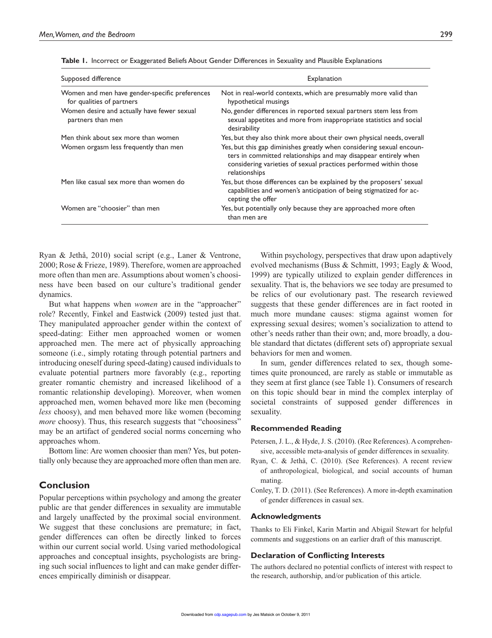| Supposed difference                                                         | Explanation                                                                                                                                                                                                                  |  |
|-----------------------------------------------------------------------------|------------------------------------------------------------------------------------------------------------------------------------------------------------------------------------------------------------------------------|--|
| Women and men have gender-specific preferences<br>for qualities of partners | Not in real-world contexts, which are presumably more valid than<br>hypothetical musings                                                                                                                                     |  |
| Women desire and actually have fewer sexual<br>partners than men            | No, gender differences in reported sexual partners stem less from<br>sexual appetites and more from inappropriate statistics and social<br>desirability                                                                      |  |
| Men think about sex more than women                                         | Yes, but they also think more about their own physical needs, overall                                                                                                                                                        |  |
| Women orgasm less frequently than men                                       | Yes, but this gap diminishes greatly when considering sexual encoun-<br>ters in committed relationships and may disappear entirely when<br>considering varieties of sexual practices performed within those<br>relationships |  |
| Men like casual sex more than women do                                      | Yes, but those differences can be explained by the proposers' sexual<br>capabilities and women's anticipation of being stigmatized for ac-<br>cepting the offer                                                              |  |
| Women are "choosier" than men                                               | Yes, but potentially only because they are approached more often<br>than men are                                                                                                                                             |  |

| Table 1. Incorrect or Exaggerated Beliefs About Gender Differences in Sexuality and Plausible Explanations |  |  |
|------------------------------------------------------------------------------------------------------------|--|--|
|------------------------------------------------------------------------------------------------------------|--|--|

Ryan & Jethå, 2010) social script (e.g., Laner & Ventrone, 2000; Rose & Frieze, 1989). Therefore, women are approached more often than men are. Assumptions about women's choosiness have been based on our culture's traditional gender dynamics.

But what happens when *women* are in the "approacher" role? Recently, Finkel and Eastwick (2009) tested just that. They manipulated approacher gender within the context of speed-dating: Either men approached women or women approached men. The mere act of physically approaching someone (i.e., simply rotating through potential partners and introducing oneself during speed-dating) caused individuals to evaluate potential partners more favorably (e.g., reporting greater romantic chemistry and increased likelihood of a romantic relationship developing). Moreover, when women approached men, women behaved more like men (becoming *less* choosy), and men behaved more like women (becoming *more* choosy). Thus, this research suggests that "choosiness" may be an artifact of gendered social norms concerning who approaches whom.

Bottom line: Are women choosier than men? Yes, but potentially only because they are approached more often than men are.

#### **Conclusion**

Popular perceptions within psychology and among the greater public are that gender differences in sexuality are immutable and largely unaffected by the proximal social environment. We suggest that these conclusions are premature; in fact, gender differences can often be directly linked to forces within our current social world. Using varied methodological approaches and conceptual insights, psychologists are bringing such social influences to light and can make gender differences empirically diminish or disappear.

Within psychology, perspectives that draw upon adaptively evolved mechanisms (Buss & Schmitt, 1993; Eagly & Wood, 1999) are typically utilized to explain gender differences in sexuality. That is, the behaviors we see today are presumed to be relics of our evolutionary past. The research reviewed suggests that these gender differences are in fact rooted in much more mundane causes: stigma against women for expressing sexual desires; women's socialization to attend to other's needs rather than their own; and, more broadly, a double standard that dictates (different sets of) appropriate sexual behaviors for men and women.

In sum, gender differences related to sex, though sometimes quite pronounced, are rarely as stable or immutable as they seem at first glance (see Table 1). Consumers of research on this topic should bear in mind the complex interplay of societal constraints of supposed gender differences in sexuality.

#### **Recommended Reading**

Petersen, J. L., & Hyde, J. S. (2010). (Ree References). A comprehensive, accessible meta-analysis of gender differences in sexuality.

- Ryan, C. & Jethå, C. (2010). (See References). A recent review of anthropological, biological, and social accounts of human mating.
- Conley, T. D. (2011). (See References). A more in-depth examination of gender differences in casual sex.

#### **Acknowledgments**

Thanks to Eli Finkel, Karin Martin and Abigail Stewart for helpful comments and suggestions on an earlier draft of this manuscript.

#### **Declaration of Conflicting Interests**

The authors declared no potential conflicts of interest with respect to the research, authorship, and/or publication of this article.